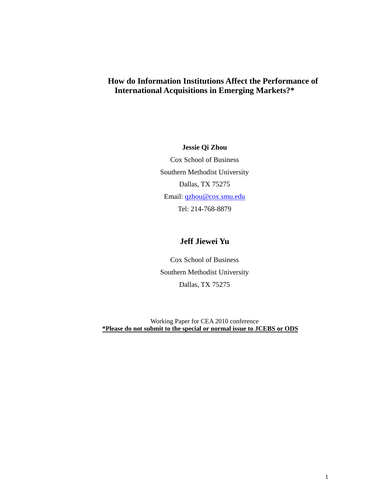# **How do Information Institutions Affect the Performance of International Acquisitions in Emerging Markets?\***

**Jessie Qi Zhou**  Cox School of Business Southern Methodist University Dallas, TX 75275 Email: qzhou@cox.smu.edu Tel: 214-768-8879

# **Jeff Jiewei Yu**

Cox School of Business Southern Methodist University Dallas, TX 75275

Working Paper for CEA 2010 conference **\*Please do not submit to the special or normal issue to JCEBS or ODS**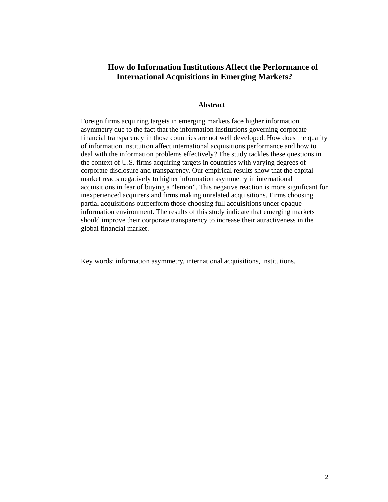# **How do Information Institutions Affect the Performance of International Acquisitions in Emerging Markets?**

## **Abstract**

Foreign firms acquiring targets in emerging markets face higher information asymmetry due to the fact that the information institutions governing corporate financial transparency in those countries are not well developed. How does the quality of information institution affect international acquisitions performance and how to deal with the information problems effectively? The study tackles these questions in the context of U.S. firms acquiring targets in countries with varying degrees of corporate disclosure and transparency. Our empirical results show that the capital market reacts negatively to higher information asymmetry in international acquisitions in fear of buying a "lemon". This negative reaction is more significant for inexperienced acquirers and firms making unrelated acquisitions. Firms choosing partial acquisitions outperform those choosing full acquisitions under opaque information environment. The results of this study indicate that emerging markets should improve their corporate transparency to increase their attractiveness in the global financial market.

Key words: information asymmetry, international acquisitions, institutions.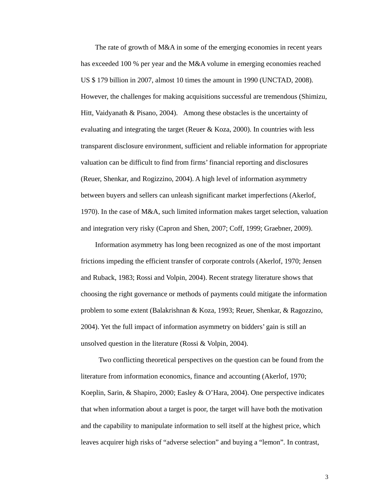The rate of growth of M&A in some of the emerging economies in recent years has exceeded 100 % per year and the M&A volume in emerging economies reached US \$ 179 billion in 2007, almost 10 times the amount in 1990 (UNCTAD, 2008). However, the challenges for making acquisitions successful are tremendous (Shimizu, Hitt, Vaidyanath & Pisano, 2004). Among these obstacles is the uncertainty of evaluating and integrating the target (Reuer  $\&$  Koza, 2000). In countries with less transparent disclosure environment, sufficient and reliable information for appropriate valuation can be difficult to find from firms' financial reporting and disclosures (Reuer, Shenkar, and Rogizzino, 2004). A high level of information asymmetry between buyers and sellers can unleash significant market imperfections (Akerlof, 1970). In the case of M&A, such limited information makes target selection, valuation and integration very risky (Capron and Shen, 2007; Coff, 1999; Graebner, 2009).

Information asymmetry has long been recognized as one of the most important frictions impeding the efficient transfer of corporate controls (Akerlof, 1970; Jensen and Ruback, 1983; Rossi and Volpin, 2004). Recent strategy literature shows that choosing the right governance or methods of payments could mitigate the information problem to some extent (Balakrishnan & Koza, 1993; Reuer, Shenkar, & Ragozzino, 2004). Yet the full impact of information asymmetry on bidders' gain is still an unsolved question in the literature (Rossi & Volpin, 2004).

 Two conflicting theoretical perspectives on the question can be found from the literature from information economics, finance and accounting (Akerlof, 1970; Koeplin, Sarin, & Shapiro, 2000; Easley & O'Hara, 2004). One perspective indicates that when information about a target is poor, the target will have both the motivation and the capability to manipulate information to sell itself at the highest price, which leaves acquirer high risks of "adverse selection" and buying a "lemon". In contrast,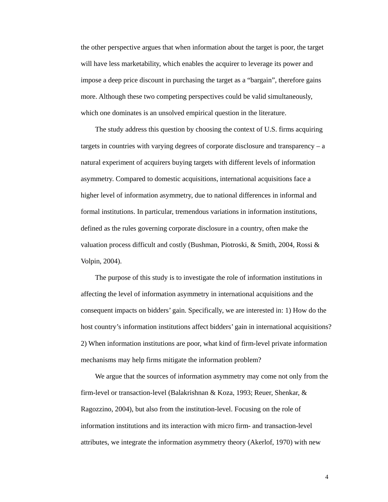the other perspective argues that when information about the target is poor, the target will have less marketability, which enables the acquirer to leverage its power and impose a deep price discount in purchasing the target as a "bargain", therefore gains more. Although these two competing perspectives could be valid simultaneously, which one dominates is an unsolved empirical question in the literature.

The study address this question by choosing the context of U.S. firms acquiring targets in countries with varying degrees of corporate disclosure and transparency – a natural experiment of acquirers buying targets with different levels of information asymmetry. Compared to domestic acquisitions, international acquisitions face a higher level of information asymmetry, due to national differences in informal and formal institutions. In particular, tremendous variations in information institutions, defined as the rules governing corporate disclosure in a country, often make the valuation process difficult and costly (Bushman, Piotroski, & Smith, 2004, Rossi & Volpin, 2004).

The purpose of this study is to investigate the role of information institutions in affecting the level of information asymmetry in international acquisitions and the consequent impacts on bidders' gain. Specifically, we are interested in: 1) How do the host country's information institutions affect bidders' gain in international acquisitions? 2) When information institutions are poor, what kind of firm-level private information mechanisms may help firms mitigate the information problem?

We argue that the sources of information asymmetry may come not only from the firm-level or transaction-level (Balakrishnan & Koza, 1993; Reuer, Shenkar, & Ragozzino, 2004), but also from the institution-level. Focusing on the role of information institutions and its interaction with micro firm- and transaction-level attributes, we integrate the information asymmetry theory (Akerlof, 1970) with new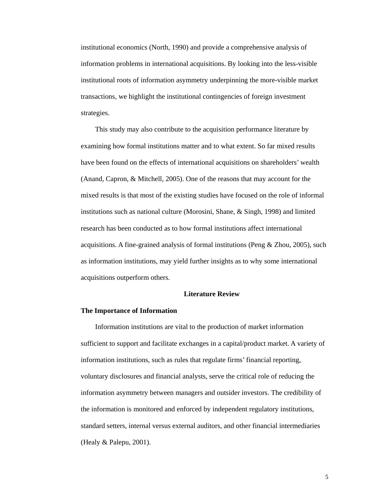institutional economics (North, 1990) and provide a comprehensive analysis of information problems in international acquisitions. By looking into the less-visible institutional roots of information asymmetry underpinning the more-visible market transactions, we highlight the institutional contingencies of foreign investment strategies.

This study may also contribute to the acquisition performance literature by examining how formal institutions matter and to what extent. So far mixed results have been found on the effects of international acquisitions on shareholders' wealth (Anand, Capron, & Mitchell, 2005). One of the reasons that may account for the mixed results is that most of the existing studies have focused on the role of informal institutions such as national culture (Morosini, Shane, & Singh, 1998) and limited research has been conducted as to how formal institutions affect international acquisitions. A fine-grained analysis of formal institutions (Peng & Zhou, 2005), such as information institutions, may yield further insights as to why some international acquisitions outperform others.

## **Literature Review**

## **The Importance of Information**

Information institutions are vital to the production of market information sufficient to support and facilitate exchanges in a capital/product market. A variety of information institutions, such as rules that regulate firms' financial reporting, voluntary disclosures and financial analysts, serve the critical role of reducing the information asymmetry between managers and outsider investors. The credibility of the information is monitored and enforced by independent regulatory institutions, standard setters, internal versus external auditors, and other financial intermediaries (Healy & Palepu, 2001).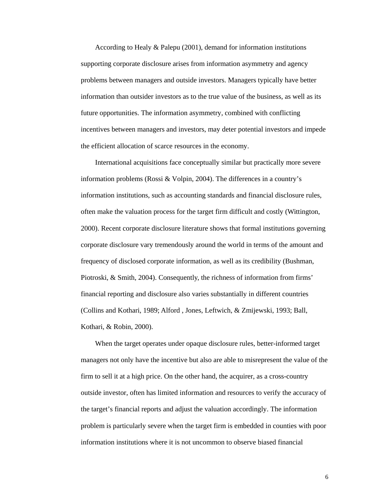According to Healy & Palepu (2001), demand for information institutions supporting corporate disclosure arises from information asymmetry and agency problems between managers and outside investors. Managers typically have better information than outsider investors as to the true value of the business, as well as its future opportunities. The information asymmetry, combined with conflicting incentives between managers and investors, may deter potential investors and impede the efficient allocation of scarce resources in the economy.

International acquisitions face conceptually similar but practically more severe information problems (Rossi & Volpin, 2004). The differences in a country's information institutions, such as accounting standards and financial disclosure rules, often make the valuation process for the target firm difficult and costly (Wittington, 2000). Recent corporate disclosure literature shows that formal institutions governing corporate disclosure vary tremendously around the world in terms of the amount and frequency of disclosed corporate information, as well as its credibility (Bushman, Piotroski, & Smith, 2004). Consequently, the richness of information from firms' financial reporting and disclosure also varies substantially in different countries (Collins and Kothari, 1989; Alford , Jones, Leftwich, & Zmijewski, 1993; Ball, Kothari, & Robin, 2000).

When the target operates under opaque disclosure rules, better-informed target managers not only have the incentive but also are able to misrepresent the value of the firm to sell it at a high price. On the other hand, the acquirer, as a cross-country outside investor, often has limited information and resources to verify the accuracy of the target's financial reports and adjust the valuation accordingly. The information problem is particularly severe when the target firm is embedded in counties with poor information institutions where it is not uncommon to observe biased financial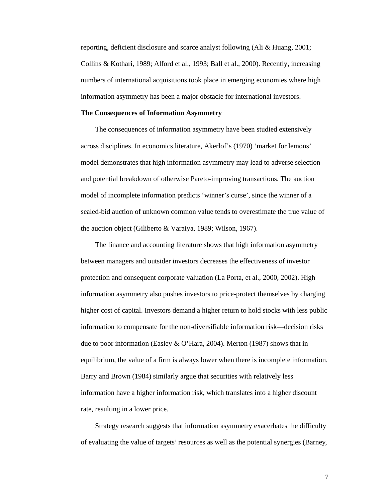reporting, deficient disclosure and scarce analyst following (Ali & Huang, 2001; Collins & Kothari, 1989; Alford et al., 1993; Ball et al., 2000). Recently, increasing numbers of international acquisitions took place in emerging economies where high information asymmetry has been a major obstacle for international investors.

## **The Consequences of Information Asymmetry**

The consequences of information asymmetry have been studied extensively across disciplines. In economics literature, Akerlof's (1970) 'market for lemons' model demonstrates that high information asymmetry may lead to adverse selection and potential breakdown of otherwise Pareto-improving transactions. The auction model of incomplete information predicts 'winner's curse', since the winner of a sealed-bid auction of unknown common value tends to overestimate the true value of the auction object (Giliberto & Varaiya, 1989; Wilson, 1967).

The finance and accounting literature shows that high information asymmetry between managers and outsider investors decreases the effectiveness of investor protection and consequent corporate valuation (La Porta, et al., 2000, 2002). High information asymmetry also pushes investors to price-protect themselves by charging higher cost of capital. Investors demand a higher return to hold stocks with less public information to compensate for the non-diversifiable information risk—decision risks due to poor information (Easley & O'Hara, 2004). Merton (1987) shows that in equilibrium, the value of a firm is always lower when there is incomplete information. Barry and Brown (1984) similarly argue that securities with relatively less information have a higher information risk, which translates into a higher discount rate, resulting in a lower price.

Strategy research suggests that information asymmetry exacerbates the difficulty of evaluating the value of targets' resources as well as the potential synergies (Barney,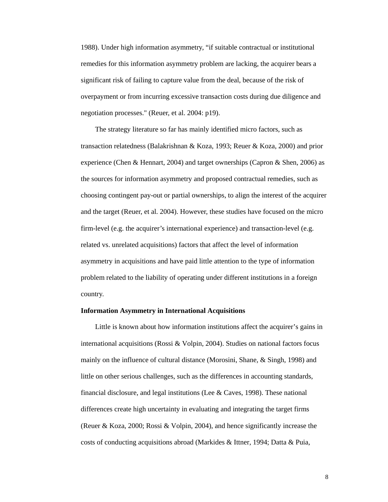1988). Under high information asymmetry, "if suitable contractual or institutional remedies for this information asymmetry problem are lacking, the acquirer bears a significant risk of failing to capture value from the deal, because of the risk of overpayment or from incurring excessive transaction costs during due diligence and negotiation processes." (Reuer, et al. 2004: p19).

The strategy literature so far has mainly identified micro factors, such as transaction relatedness (Balakrishnan & Koza, 1993; Reuer & Koza, 2000) and prior experience (Chen & Hennart, 2004) and target ownerships (Capron & Shen, 2006) as the sources for information asymmetry and proposed contractual remedies, such as choosing contingent pay-out or partial ownerships, to align the interest of the acquirer and the target (Reuer, et al. 2004). However, these studies have focused on the micro firm-level (e.g. the acquirer's international experience) and transaction-level (e.g. related vs. unrelated acquisitions) factors that affect the level of information asymmetry in acquisitions and have paid little attention to the type of information problem related to the liability of operating under different institutions in a foreign country.

## **Information Asymmetry in International Acquisitions**

Little is known about how information institutions affect the acquirer's gains in international acquisitions (Rossi & Volpin, 2004). Studies on national factors focus mainly on the influence of cultural distance (Morosini, Shane, & Singh, 1998) and little on other serious challenges, such as the differences in accounting standards, financial disclosure, and legal institutions (Lee  $&$  Caves, 1998). These national differences create high uncertainty in evaluating and integrating the target firms (Reuer & Koza, 2000; Rossi & Volpin, 2004), and hence significantly increase the costs of conducting acquisitions abroad (Markides & Ittner, 1994; Datta & Puia,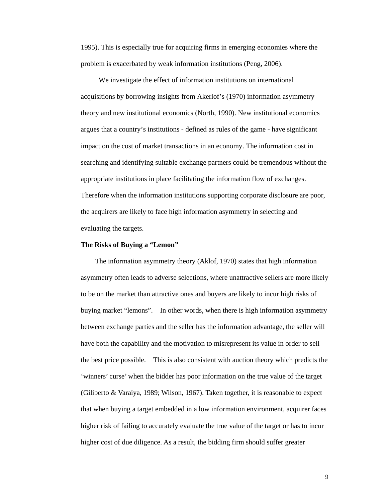1995). This is especially true for acquiring firms in emerging economies where the problem is exacerbated by weak information institutions (Peng, 2006).

 We investigate the effect of information institutions on international acquisitions by borrowing insights from Akerlof's (1970) information asymmetry theory and new institutional economics (North, 1990). New institutional economics argues that a country's institutions - defined as rules of the game - have significant impact on the cost of market transactions in an economy. The information cost in searching and identifying suitable exchange partners could be tremendous without the appropriate institutions in place facilitating the information flow of exchanges. Therefore when the information institutions supporting corporate disclosure are poor, the acquirers are likely to face high information asymmetry in selecting and evaluating the targets.

## **The Risks of Buying a "Lemon"**

The information asymmetry theory (Aklof, 1970) states that high information asymmetry often leads to adverse selections, where unattractive sellers are more likely to be on the market than attractive ones and buyers are likely to incur high risks of buying market "lemons". In other words, when there is high information asymmetry between exchange parties and the seller has the information advantage, the seller will have both the capability and the motivation to misrepresent its value in order to sell the best price possible. This is also consistent with auction theory which predicts the 'winners' curse' when the bidder has poor information on the true value of the target (Giliberto & Varaiya, 1989; Wilson, 1967). Taken together, it is reasonable to expect that when buying a target embedded in a low information environment, acquirer faces higher risk of failing to accurately evaluate the true value of the target or has to incur higher cost of due diligence. As a result, the bidding firm should suffer greater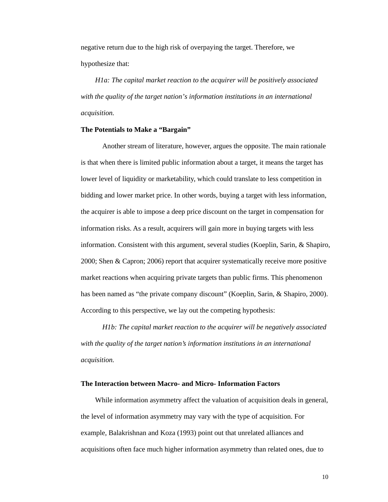negative return due to the high risk of overpaying the target. Therefore, we hypothesize that:

*H1a: The capital market reaction to the acquirer will be positively associated with the quality of the target nation's information institutions in an international acquisition.* 

## **The Potentials to Make a "Bargain"**

Another stream of literature, however, argues the opposite. The main rationale is that when there is limited public information about a target, it means the target has lower level of liquidity or marketability, which could translate to less competition in bidding and lower market price. In other words, buying a target with less information, the acquirer is able to impose a deep price discount on the target in compensation for information risks. As a result, acquirers will gain more in buying targets with less information. Consistent with this argument, several studies (Koeplin, Sarin, & Shapiro, 2000; Shen & Capron; 2006) report that acquirer systematically receive more positive market reactions when acquiring private targets than public firms. This phenomenon has been named as "the private company discount" (Koeplin, Sarin, & Shapiro, 2000). According to this perspective, we lay out the competing hypothesis:

*H1b: The capital market reaction to the acquirer will be negatively associated with the quality of the target nation's information institutions in an international acquisition.*

## **The Interaction between Macro- and Micro- Information Factors**

While information asymmetry affect the valuation of acquisition deals in general, the level of information asymmetry may vary with the type of acquisition. For example, Balakrishnan and Koza (1993) point out that unrelated alliances and acquisitions often face much higher information asymmetry than related ones, due to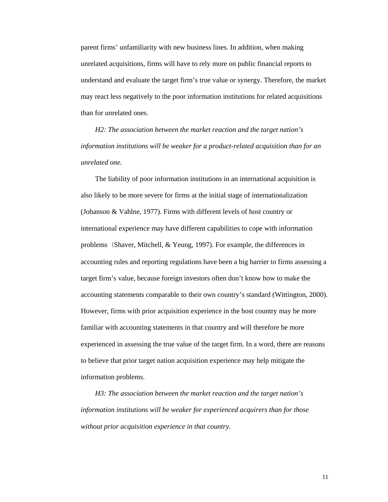parent firms' unfamiliarity with new business lines. In addition, when making unrelated acquisitions, firms will have to rely more on public financial reports to understand and evaluate the target firm's true value or synergy. Therefore, the market may react less negatively to the poor information institutions for related acquisitions than for unrelated ones.

*H2: The association between the market reaction and the target nation's information institutions will be weaker for a product-related acquisition than for an unrelated one.* 

The liability of poor information institutions in an international acquisition is also likely to be more severe for firms at the initial stage of internationalization (Johanson & Vahlne, 1977). Firms with different levels of host country or international experience may have different capabilities to cope with information problems (Shaver, Mitchell, & Yeung, 1997). For example, the differences in accounting rules and reporting regulations have been a big barrier to firms assessing a target firm's value, because foreign investors often don't know how to make the accounting statements comparable to their own country's standard (Wittington, 2000). However, firms with prior acquisition experience in the host country may be more familiar with accounting statements in that country and will therefore be more experienced in assessing the true value of the target firm. In a word, there are reasons to believe that prior target nation acquisition experience may help mitigate the information problems.

*H3: The association between the market reaction and the target nation's information institutions will be weaker for experienced acquirers than for those without prior acquisition experience in that country.*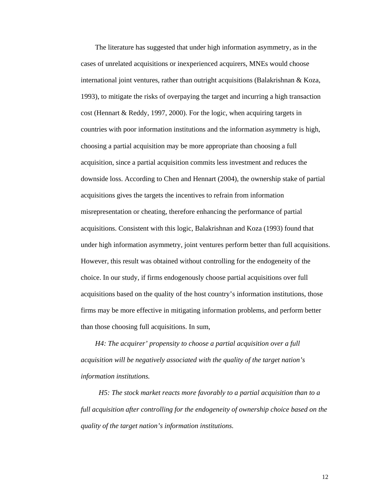The literature has suggested that under high information asymmetry, as in the cases of unrelated acquisitions or inexperienced acquirers, MNEs would choose international joint ventures, rather than outright acquisitions (Balakrishnan & Koza, 1993), to mitigate the risks of overpaying the target and incurring a high transaction cost (Hennart & Reddy, 1997, 2000). For the logic, when acquiring targets in countries with poor information institutions and the information asymmetry is high, choosing a partial acquisition may be more appropriate than choosing a full acquisition, since a partial acquisition commits less investment and reduces the downside loss. According to Chen and Hennart (2004), the ownership stake of partial acquisitions gives the targets the incentives to refrain from information misrepresentation or cheating, therefore enhancing the performance of partial acquisitions. Consistent with this logic, Balakrishnan and Koza (1993) found that under high information asymmetry, joint ventures perform better than full acquisitions. However, this result was obtained without controlling for the endogeneity of the choice. In our study, if firms endogenously choose partial acquisitions over full acquisitions based on the quality of the host country's information institutions, those firms may be more effective in mitigating information problems, and perform better than those choosing full acquisitions. In sum,

*H4: The acquirer' propensity to choose a partial acquisition over a full acquisition will be negatively associated with the quality of the target nation's information institutions.* 

*H5: The stock market reacts more favorably to a partial acquisition than to a full acquisition after controlling for the endogeneity of ownership choice based on the quality of the target nation's information institutions.*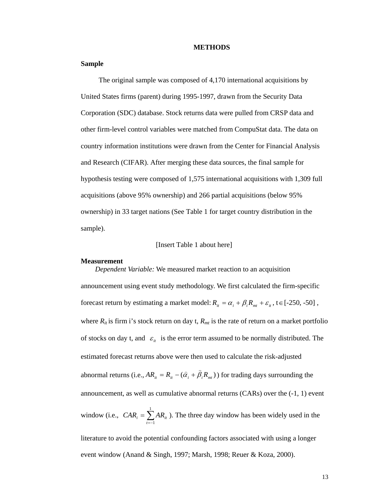### **METHODS**

## **Sample**

The original sample was composed of 4,170 international acquisitions by United States firms (parent) during 1995-1997, drawn from the Security Data Corporation (SDC) database. Stock returns data were pulled from CRSP data and other firm-level control variables were matched from CompuStat data. The data on country information institutions were drawn from the Center for Financial Analysis and Research (CIFAR). After merging these data sources, the final sample for hypothesis testing were composed of 1,575 international acquisitions with 1,309 full acquisitions (above 95% ownership) and 266 partial acquisitions (below 95% ownership) in 33 target nations (See Table 1 for target country distribution in the sample).

## [Insert Table 1 about here]

#### **Measurement**

*Dependent Variable:* We measured market reaction to an acquisition announcement using event study methodology. We first calculated the firm-specific forecast return by estimating a market model:  $R_{it} = \alpha_i + \beta_i R_{mt} + \varepsilon_i$ , t  $\in$  [-250, -50], where  $R_{it}$  is firm i's stock return on day t,  $R_{mt}$  is the rate of return on a market portfolio of stocks on day t, and  $\varepsilon$ <sub>*ii*</sub> is the error term assumed to be normally distributed. The estimated forecast returns above were then used to calculate the risk-adjusted abnormal returns (i.e.,  $AR_{it} = R_{it} - (\hat{\alpha}_i + \hat{\beta}_i R_{mt})$ ) for trading days surrounding the announcement, as well as cumulative abnormal returns (CARs) over the (-1, 1) event window (i.e.,  $CAR_i = \sum_{t=1}^{1}$  $CAR_i = \sum_{t=1}^t AR_{it}$ ). The three day window has been widely used in the literature to avoid the potential confounding factors associated with using a longer event window (Anand & Singh, 1997; Marsh, 1998; Reuer & Koza, 2000).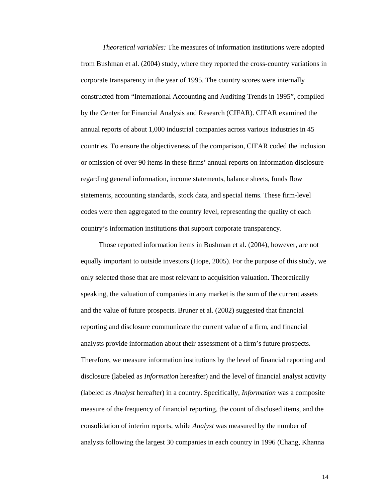*Theoretical variables:* The measures of information institutions were adopted from Bushman et al. (2004) study, where they reported the cross-country variations in corporate transparency in the year of 1995. The country scores were internally constructed from "International Accounting and Auditing Trends in 1995", compiled by the Center for Financial Analysis and Research (CIFAR). CIFAR examined the annual reports of about 1,000 industrial companies across various industries in 45 countries. To ensure the objectiveness of the comparison, CIFAR coded the inclusion or omission of over 90 items in these firms' annual reports on information disclosure regarding general information, income statements, balance sheets, funds flow statements, accounting standards, stock data, and special items. These firm-level codes were then aggregated to the country level, representing the quality of each country's information institutions that support corporate transparency.

 Those reported information items in Bushman et al. (2004), however, are not equally important to outside investors (Hope, 2005). For the purpose of this study, we only selected those that are most relevant to acquisition valuation. Theoretically speaking, the valuation of companies in any market is the sum of the current assets and the value of future prospects. Bruner et al. (2002) suggested that financial reporting and disclosure communicate the current value of a firm, and financial analysts provide information about their assessment of a firm's future prospects. Therefore, we measure information institutions by the level of financial reporting and disclosure (labeled as *Information* hereafter) and the level of financial analyst activity (labeled as *Analyst* hereafter) in a country. Specifically, *Information* was a composite measure of the frequency of financial reporting, the count of disclosed items, and the consolidation of interim reports, while *Analyst* was measured by the number of analysts following the largest 30 companies in each country in 1996 (Chang, Khanna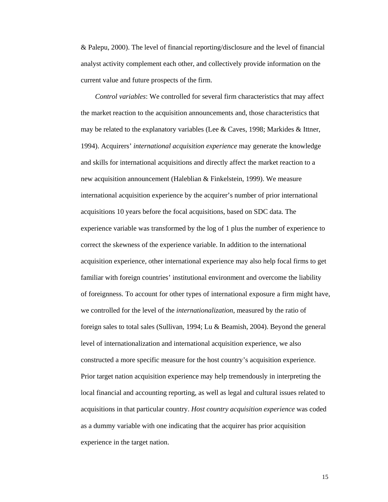& Palepu, 2000). The level of financial reporting/disclosure and the level of financial analyst activity complement each other, and collectively provide information on the current value and future prospects of the firm.

*Control variables*: We controlled for several firm characteristics that may affect the market reaction to the acquisition announcements and, those characteristics that may be related to the explanatory variables (Lee & Caves, 1998; Markides & Ittner, 1994). Acquirers' *international acquisition experience* may generate the knowledge and skills for international acquisitions and directly affect the market reaction to a new acquisition announcement (Haleblian & Finkelstein, 1999). We measure international acquisition experience by the acquirer's number of prior international acquisitions 10 years before the focal acquisitions, based on SDC data. The experience variable was transformed by the log of 1 plus the number of experience to correct the skewness of the experience variable. In addition to the international acquisition experience, other international experience may also help focal firms to get familiar with foreign countries' institutional environment and overcome the liability of foreignness. To account for other types of international exposure a firm might have, we controlled for the level of the *internationalization,* measured by the ratio of foreign sales to total sales (Sullivan, 1994; Lu & Beamish, 2004). Beyond the general level of internationalization and international acquisition experience, we also constructed a more specific measure for the host country's acquisition experience. Prior target nation acquisition experience may help tremendously in interpreting the local financial and accounting reporting, as well as legal and cultural issues related to acquisitions in that particular country. *Host country acquisition experience* was coded as a dummy variable with one indicating that the acquirer has prior acquisition experience in the target nation.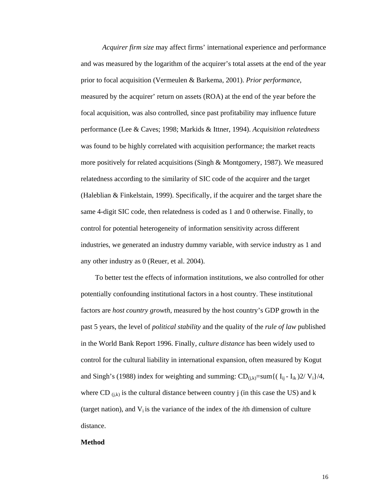*Acquirer firm size* may affect firms' international experience and performance and was measured by the logarithm of the acquirer's total assets at the end of the year prior to focal acquisition (Vermeulen & Barkema, 2001). *Prior performance*, measured by the acquirer' return on assets (ROA) at the end of the year before the focal acquisition, was also controlled, since past profitability may influence future performance (Lee & Caves; 1998; Markids & Ittner, 1994). *Acquisition relatedness*  was found to be highly correlated with acquisition performance; the market reacts more positively for related acquisitions (Singh & Montgomery, 1987). We measured relatedness according to the similarity of SIC code of the acquirer and the target (Haleblian & Finkelstain, 1999). Specifically, if the acquirer and the target share the same 4-digit SIC code, then relatedness is coded as 1 and 0 otherwise. Finally, to control for potential heterogeneity of information sensitivity across different industries, we generated an industry dummy variable, with service industry as 1 and any other industry as 0 (Reuer, et al. 2004).

To better test the effects of information institutions, we also controlled for other potentially confounding institutional factors in a host country. These institutional factors are *host country growth*, measured by the host country's GDP growth in the past 5 years, the level of *political stability* and the quality of the *rule of law* published in the World Bank Report 1996. Finally, *culture distance* has been widely used to control for the cultural liability in international expansion, often measured by Kogut and Singh's (1988) index for weighting and summing:  $CD_{(i,k)}=sum{(I_{ii}-I_{ik})^2/V_i}}/4$ , where CD  $_{(i,k)}$  is the cultural distance between country j (in this case the US) and k (target nation), and  $V_i$  is the variance of the index of the *i*th dimension of culture distance.

## **Method**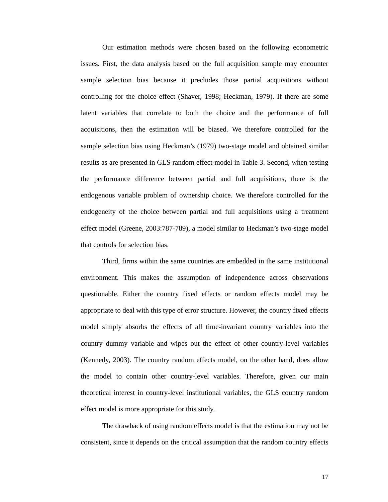Our estimation methods were chosen based on the following econometric issues. First, the data analysis based on the full acquisition sample may encounter sample selection bias because it precludes those partial acquisitions without controlling for the choice effect (Shaver, 1998; Heckman, 1979). If there are some latent variables that correlate to both the choice and the performance of full acquisitions, then the estimation will be biased. We therefore controlled for the sample selection bias using Heckman's (1979) two-stage model and obtained similar results as are presented in GLS random effect model in Table 3. Second, when testing the performance difference between partial and full acquisitions, there is the endogenous variable problem of ownership choice. We therefore controlled for the endogeneity of the choice between partial and full acquisitions using a treatment effect model (Greene, 2003:787-789), a model similar to Heckman's two-stage model that controls for selection bias.

Third, firms within the same countries are embedded in the same institutional environment. This makes the assumption of independence across observations questionable. Either the country fixed effects or random effects model may be appropriate to deal with this type of error structure. However, the country fixed effects model simply absorbs the effects of all time-invariant country variables into the country dummy variable and wipes out the effect of other country-level variables (Kennedy, 2003). The country random effects model, on the other hand, does allow the model to contain other country-level variables. Therefore, given our main theoretical interest in country-level institutional variables, the GLS country random effect model is more appropriate for this study.

The drawback of using random effects model is that the estimation may not be consistent, since it depends on the critical assumption that the random country effects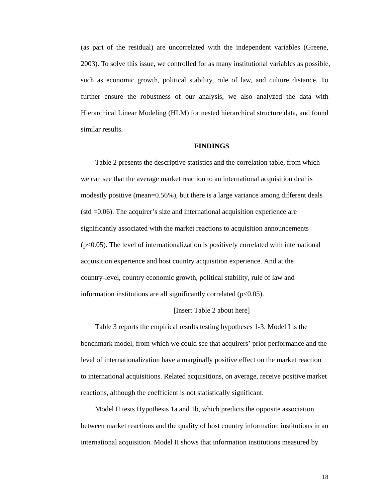(as part of the residual) are uncorrelated with the independent variables (Greene, 2003). To solve this issue, we controlled for as many institutional variables as possible, such as economic growth, political stability, rule of law, and culture distance. To further ensure the robustness of our analysis, we also analyzed the data with Hierarchical Linear Modeling (HLM) for nested hierarchical structure data, and found similar results.

## **FINDINGS**

Table 2 presents the descriptive statistics and the correlation table, from which we can see that the average market reaction to an international acquisition deal is modestly positive (mean=0.56%), but there is a large variance among different deals (std =0.06). The acquirer's size and international acquisition experience are significantly associated with the market reactions to acquisition announcements  $(p<0.05)$ . The level of internationalization is positively correlated with international acquisition experience and host country acquisition experience. And at the country-level, country economic growth, political stability, rule of law and information institutions are all significantly correlated  $(p<0.05)$ .

## [Insert Table 2 about here]

Table 3 reports the empirical results testing hypotheses 1-3. Model I is the benchmark model, from which we could see that acquirers' prior performance and the level of internationalization have a marginally positive effect on the market reaction to international acquisitions. Related acquisitions, on average, receive positive market reactions, although the coefficient is not statistically significant.

Model II tests Hypothesis 1a and 1b, which predicts the opposite association between market reactions and the quality of host country information institutions in an international acquisition. Model II shows that information institutions measured by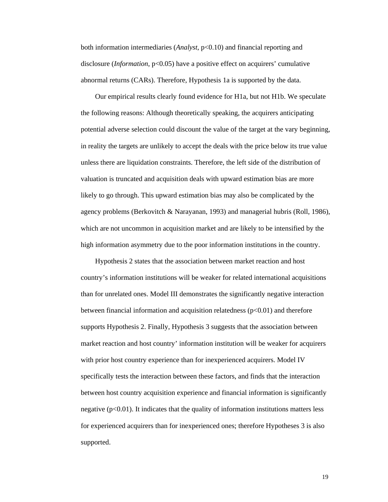both information intermediaries (*Analyst*, p<0.10) and financial reporting and disclosure (*Information*, p<0.05) have a positive effect on acquirers' cumulative abnormal returns (CARs). Therefore, Hypothesis 1a is supported by the data.

Our empirical results clearly found evidence for H1a, but not H1b. We speculate the following reasons: Although theoretically speaking, the acquirers anticipating potential adverse selection could discount the value of the target at the vary beginning, in reality the targets are unlikely to accept the deals with the price below its true value unless there are liquidation constraints. Therefore, the left side of the distribution of valuation is truncated and acquisition deals with upward estimation bias are more likely to go through. This upward estimation bias may also be complicated by the agency problems (Berkovitch & Narayanan, 1993) and managerial hubris (Roll, 1986), which are not uncommon in acquisition market and are likely to be intensified by the high information asymmetry due to the poor information institutions in the country.

Hypothesis 2 states that the association between market reaction and host country's information institutions will be weaker for related international acquisitions than for unrelated ones. Model III demonstrates the significantly negative interaction between financial information and acquisition relatedness  $(p<0.01)$  and therefore supports Hypothesis 2. Finally, Hypothesis 3 suggests that the association between market reaction and host country' information institution will be weaker for acquirers with prior host country experience than for inexperienced acquirers. Model IV specifically tests the interaction between these factors, and finds that the interaction between host country acquisition experience and financial information is significantly negative  $(p<0.01)$ . It indicates that the quality of information institutions matters less for experienced acquirers than for inexperienced ones; therefore Hypotheses 3 is also supported.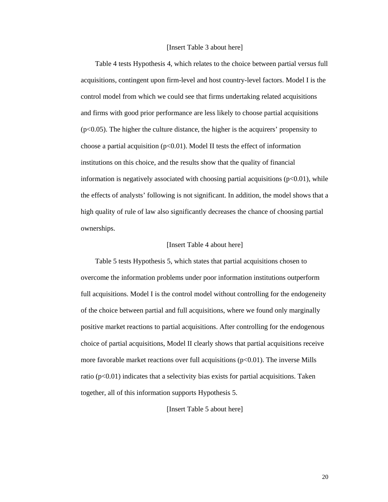## [Insert Table 3 about here]

Table 4 tests Hypothesis 4, which relates to the choice between partial versus full acquisitions, contingent upon firm-level and host country-level factors. Model I is the control model from which we could see that firms undertaking related acquisitions and firms with good prior performance are less likely to choose partial acquisitions  $(p<0.05)$ . The higher the culture distance, the higher is the acquirers' propensity to choose a partial acquisition ( $p<0.01$ ). Model II tests the effect of information institutions on this choice, and the results show that the quality of financial information is negatively associated with choosing partial acquisitions  $(p<0.01)$ , while the effects of analysts' following is not significant. In addition, the model shows that a high quality of rule of law also significantly decreases the chance of choosing partial ownerships.

## [Insert Table 4 about here]

Table 5 tests Hypothesis 5, which states that partial acquisitions chosen to overcome the information problems under poor information institutions outperform full acquisitions. Model I is the control model without controlling for the endogeneity of the choice between partial and full acquisitions, where we found only marginally positive market reactions to partial acquisitions. After controlling for the endogenous choice of partial acquisitions, Model II clearly shows that partial acquisitions receive more favorable market reactions over full acquisitions  $(p<0.01)$ . The inverse Mills ratio ( $p<0.01$ ) indicates that a selectivity bias exists for partial acquisitions. Taken together, all of this information supports Hypothesis 5.

## [Insert Table 5 about here]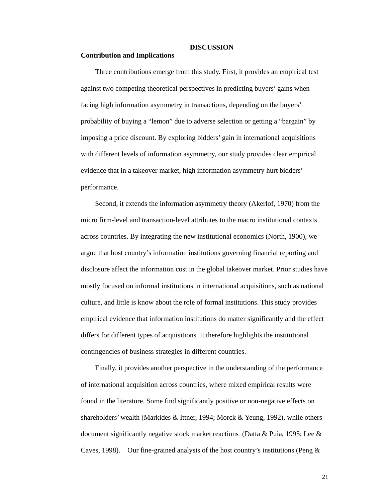#### **DISCUSSION**

## **Contribution and Implications**

Three contributions emerge from this study. First, it provides an empirical test against two competing theoretical perspectives in predicting buyers' gains when facing high information asymmetry in transactions, depending on the buyers' probability of buying a "lemon" due to adverse selection or getting a "bargain" by imposing a price discount. By exploring bidders' gain in international acquisitions with different levels of information asymmetry, our study provides clear empirical evidence that in a takeover market, high information asymmetry hurt bidders' performance.

Second, it extends the information asymmetry theory (Akerlof, 1970) from the micro firm-level and transaction-level attributes to the macro institutional contexts across countries. By integrating the new institutional economics (North, 1900), we argue that host country's information institutions governing financial reporting and disclosure affect the information cost in the global takeover market. Prior studies have mostly focused on informal institutions in international acquisitions, such as national culture, and little is know about the role of formal institutions. This study provides empirical evidence that information institutions do matter significantly and the effect differs for different types of acquisitions. It therefore highlights the institutional contingencies of business strategies in different countries.

Finally, it provides another perspective in the understanding of the performance of international acquisition across countries, where mixed empirical results were found in the literature. Some find significantly positive or non-negative effects on shareholders' wealth (Markides & Ittner, 1994; Morck & Yeung, 1992), while others document significantly negative stock market reactions (Datta & Puia, 1995; Lee & Caves, 1998). Our fine-grained analysis of the host country's institutions (Peng  $\&$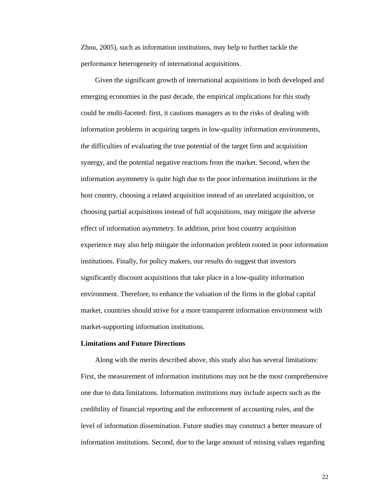Zhou, 2005), such as information institutions, may help to further tackle the performance heterogeneity of international acquisitions.

Given the significant growth of international acquisitions in both developed and emerging economies in the past decade, the empirical implications for this study could be multi-faceted: first, it cautions managers as to the risks of dealing with information problems in acquiring targets in low-quality information environments, the difficulties of evaluating the true potential of the target firm and acquisition synergy, and the potential negative reactions from the market. Second, when the information asymmetry is quite high due to the poor information institutions in the host country, choosing a related acquisition instead of an unrelated acquisition, or choosing partial acquisitions instead of full acquisitions, may mitigate the adverse effect of information asymmetry. In addition, prior host country acquisition experience may also help mitigate the information problem rooted in poor information institutions. Finally, for policy makers, our results do suggest that investors significantly discount acquisitions that take place in a low-quality information environment. Therefore, to enhance the valuation of the firms in the global capital market, countries should strive for a more transparent information environment with market-supporting information institutions.

## **Limitations and Future Directions**

Along with the merits described above, this study also has several limitations: First, the measurement of information institutions may not be the most comprehensive one due to data limitations. Information institutions may include aspects such as the credibility of financial reporting and the enforcement of accounting rules, and the level of information dissemination. Future studies may construct a better measure of information institutions. Second, due to the large amount of missing values regarding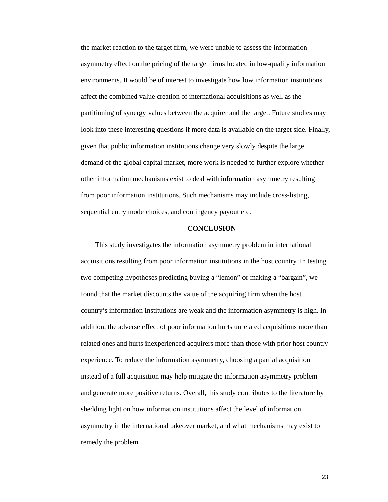the market reaction to the target firm, we were unable to assess the information asymmetry effect on the pricing of the target firms located in low-quality information environments. It would be of interest to investigate how low information institutions affect the combined value creation of international acquisitions as well as the partitioning of synergy values between the acquirer and the target. Future studies may look into these interesting questions if more data is available on the target side. Finally, given that public information institutions change very slowly despite the large demand of the global capital market, more work is needed to further explore whether other information mechanisms exist to deal with information asymmetry resulting from poor information institutions. Such mechanisms may include cross-listing, sequential entry mode choices, and contingency payout etc.

## **CONCLUSION**

This study investigates the information asymmetry problem in international acquisitions resulting from poor information institutions in the host country. In testing two competing hypotheses predicting buying a "lemon" or making a "bargain", we found that the market discounts the value of the acquiring firm when the host country's information institutions are weak and the information asymmetry is high. In addition, the adverse effect of poor information hurts unrelated acquisitions more than related ones and hurts inexperienced acquirers more than those with prior host country experience. To reduce the information asymmetry, choosing a partial acquisition instead of a full acquisition may help mitigate the information asymmetry problem and generate more positive returns. Overall, this study contributes to the literature by shedding light on how information institutions affect the level of information asymmetry in the international takeover market, and what mechanisms may exist to remedy the problem.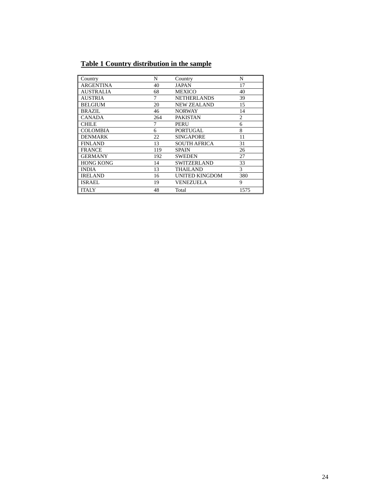# **Table 1 Country distribution in the sample**

| Country          | N   | Country               | N              |
|------------------|-----|-----------------------|----------------|
| ARGENTINA        | 40  | <b>JAPAN</b>          | 17             |
| AUSTRALIA        | 68  | <b>MEXICO</b>         | 40             |
| <b>AUSTRIA</b>   | 7   | <b>NETHERLANDS</b>    | 39             |
| <b>BELGIUM</b>   | 20  | <b>NEW ZEALAND</b>    | 15             |
| BRAZIL           | 46  | <b>NORWAY</b>         | 14             |
| <b>CANADA</b>    | 264 | <b>PAKISTAN</b>       | $\overline{c}$ |
| <b>CHILE</b>     | 7   | <b>PERU</b>           | 6              |
| <b>COLOMBIA</b>  | 6   | <b>PORTUGAL</b>       | 8              |
| <b>DENMARK</b>   | 22  | <b>SINGAPORE</b>      | 11             |
| <b>FINLAND</b>   | 13  | <b>SOUTH AFRICA</b>   | 31             |
| <b>FRANCE</b>    | 119 | <b>SPAIN</b>          | 26             |
| <b>GERMANY</b>   | 192 | <b>SWEDEN</b>         | 27             |
| <b>HONG KONG</b> | 14  | <b>SWITZERLAND</b>    | 33             |
| <b>INDIA</b>     | 13  | <b>THAILAND</b>       | 3              |
| <b>IRELAND</b>   | 16  | <b>UNITED KINGDOM</b> | 380            |
| <b>ISRAEL</b>    | 19  | <b>VENEZUELA</b>      | 9              |
| <b>ITALY</b>     | 48  | Total                 | 1575           |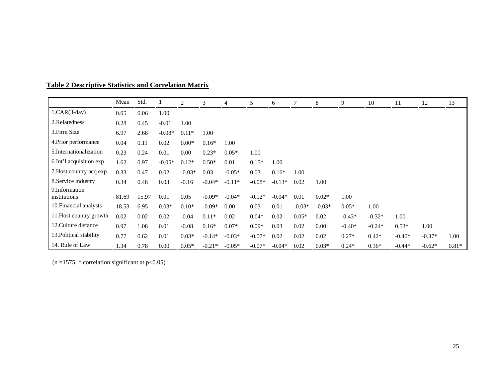| <b>Table 2 Descriptive Statistics and Correlation Matrix</b> |  |  |
|--------------------------------------------------------------|--|--|
|--------------------------------------------------------------|--|--|

|                               | Mean  | Std.  |          | 2        | 3        | 4        | 5        | 6        | 7        | 8        | 9        | 10       | 11       | 12       | 13      |
|-------------------------------|-------|-------|----------|----------|----------|----------|----------|----------|----------|----------|----------|----------|----------|----------|---------|
| $1.CAR(3-day)$                | 0.05  | 0.06  | 1.00     |          |          |          |          |          |          |          |          |          |          |          |         |
| 2.Relatedness                 | 0.28  | 0.45  | $-0.01$  | 1.00     |          |          |          |          |          |          |          |          |          |          |         |
| 3. Firm Size                  | 6.97  | 2.68  | $-0.08*$ | $0.11*$  | 1.00     |          |          |          |          |          |          |          |          |          |         |
| 4. Prior performance          | 0.04  | 0.11  | 0.02     | $0.00*$  | $0.16*$  | 1.00     |          |          |          |          |          |          |          |          |         |
| 5. Internationalization       | 0.23  | 0.24  | 0.01     | 0.00     | $0.23*$  | $0.05*$  | 1.00     |          |          |          |          |          |          |          |         |
| 6. Int'l acquisition exp      | 1.62  | 0.97  | $-0.05*$ | $0.12*$  | $0.50*$  | 0.01     | $0.15*$  | 1.00     |          |          |          |          |          |          |         |
| 7. Host country acq exp       | 0.33  | 0.47  | 0.02     | $-0.03*$ | 0.03     | $-0.05*$ | 0.03     | $0.16*$  | 1.00     |          |          |          |          |          |         |
| 8. Service industry           | 0.34  | 0.48  | 0.03     | $-0.16$  | $-0.04*$ | $-0.11*$ | $-0.08*$ | $-0.13*$ | 0.02     | 1.00     |          |          |          |          |         |
| 9.Information<br>institutions | 81.69 | 15.97 | 0.01     | 0.05     | $-0.09*$ | $-0.04*$ | $-0.12*$ | $-0.04*$ | 0.01     | $0.02*$  | 1.00     |          |          |          |         |
| 10. Financial analysts        | 18.53 | 6.95  | $0.03*$  | $0.10*$  | $-0.09*$ | 0.00     | 0.03     | 0.01     | $-0.03*$ | $-0.03*$ | $0.05*$  | 1.00     |          |          |         |
| 11. Host country growth       | 0.02  | 0.02  | 0.02     | $-0.04$  | $0.11*$  | 0.02     | $0.04*$  | 0.02     | $0.05*$  | 0.02     | $-0.43*$ | $-0.32*$ | 1.00     |          |         |
| 12. Culture distance          | 0.97  | 1.08  | 0.01     | $-0.08$  | $0.16*$  | $0.07*$  | $0.09*$  | 0.03     | 0.02     | 0.00     | $-0.40*$ | $-0.24*$ | $0.53*$  | 1.00     |         |
| 13. Political stability       | 0.77  | 0.62  | 0.01     | $0.03*$  | $-0.14*$ | $-0.03*$ | $-0.07*$ | 0.02     | 0.02     | 0.02     | $0.27*$  | $0.42*$  | $-0.40*$ | $-0.37*$ | 1.00    |
| 14. Rule of Law               | 1.34  | 0.78  | 0.00     | $0.05*$  | $-0.21*$ | $-0.05*$ | $-0.07*$ | $-0.04*$ | 0.02     | $0.03*$  | $0.24*$  | $0.36*$  | $-0.44*$ | $-0.62*$ | $0.81*$ |

(n =1575.  $*$  correlation significant at p<0.05)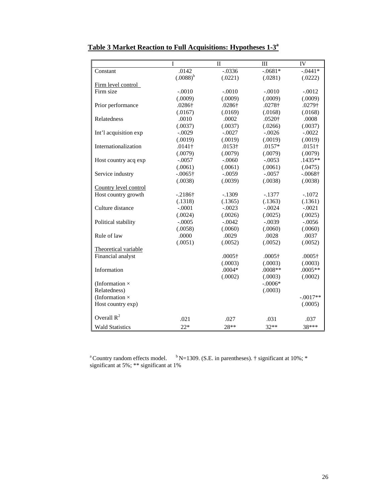|                        | I               | $\mathbf{I}$   | III            | <b>IV</b>       |
|------------------------|-----------------|----------------|----------------|-----------------|
| Constant               | .0142           | $-.0336$       | $-0.681*$      | $-0.0441*$      |
|                        | $(.0088)^{b}$   | (.0221)        | (.0281)        | (.0222)         |
| Firm level control     |                 |                |                |                 |
| Firm size              | $-.0010$        | $-.0010$       | $-.0010$       | $-.0012$        |
|                        | (.0009)         | (.0009)        | (.0009)        | (.0009)         |
| Prior performance      | .0286†          | .0286†         | .0278†         | .0279†          |
|                        | (.0167)         | (.0169)        | (.0168)        | (.0168)         |
| Relatedness            | .0010           | .0002          | .0520†         | .0008           |
|                        | (.0037)         | (.0037)        | (.0266)        | (.0037)         |
| Int'l acquisition exp  | $-.0029$        | $-.0027$       | $-.0026$       | $-.0022$        |
|                        | (.0019)         | (.0019)        | (.0019)        | (.0019)         |
| Internationalization   | $.0141\dagger$  | $.0153\dagger$ | .0157*         | $.0151\dagger$  |
|                        | (.0079)         | (.0079)        | (.0079)        | (.0079)         |
| Host country acq exp   | $-.0057$        | $-.0060$       | $-.0053$       | .1435**         |
|                        | (.0061)         | (.0061)        | (.0061)        | (.0475)         |
| Service industry       | $-.0065\dagger$ | $-.0059$       | $-.0057$       | $-.0068\dagger$ |
|                        | (.0038)         | (.0039)        | (.0038)        | (.0038)         |
| Country level control  |                 |                |                |                 |
| Host country growth    | $-.2186\dagger$ | $-.1309$       | $-.1377$       | $-.1072$        |
|                        | (.1318)         | (.1365)        | (.1363)        | (.1361)         |
| Culture distance       | $-.0001$        | $-.0023$       | $-.0024$       | $-.0021$        |
|                        | (.0024)         | (.0026)        | (.0025)        | (.0025)         |
| Political stability    | $-.0005$        | $-.0042$       | $-.0039$       | $-.0056$        |
|                        | (.0058)         | (.0060)        | (.0060)        | (.0060)         |
| Rule of law            | .0000           | .0029          | .0028          | .0037           |
|                        | (.0051)         | (.0052)        | (.0052)        | (.0052)         |
| Theoretical variable   |                 |                |                |                 |
| Financial analyst      |                 | $.0005\dagger$ | $.0005\dagger$ | $.0005\dagger$  |
|                        |                 | (.0003)        | (.0003)        | (.0003)         |
| Information            |                 | $.0004*$       | $.0008**$      | $.0005**$       |
|                        |                 | (.0002)        | (.0003)        | (.0002)         |
| (Information $\times$  |                 |                | $-.0006*$      |                 |
| Relatedness)           |                 |                | (.0003)        |                 |
| (Information $\times$  |                 |                |                | $-.0017**$      |
| Host country exp)      |                 |                |                | (.0005)         |
| Overall $R^2$          | .021            | .027           | .031           | .037            |
| <b>Wald Statistics</b> | $22*$           | 28**           | $32**$         | 38***           |

# **Table 3 Market Reaction to Full Acquisitions: Hypotheses 1-3a**

<sup>a</sup> Country random effects model.  $b$  N=1309. (S.E. in parentheses).  $\dagger$  significant at 10%;  $*$ significant at 5%; \*\* significant at 1%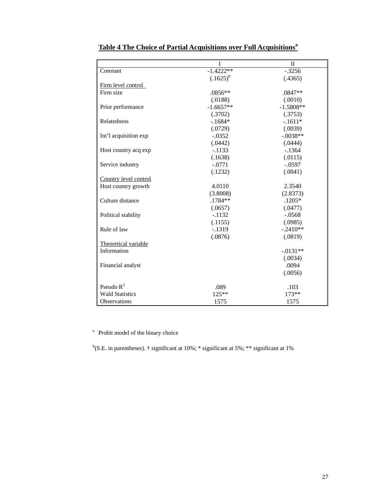|                        | I             | $\mathbf{I}$ |
|------------------------|---------------|--------------|
| Constant               | $-1.4222**$   | $-.3256$     |
|                        | $(.1625)^{b}$ | (.4365)      |
| Firm level control     |               |              |
| Firm size              | .0856**       | .0847**      |
|                        | (.0188)       | (.0010)      |
| Prior performance      | $-1.6657**$   | $-1.5808**$  |
|                        | (.3702)       | (.3753)      |
| Relatedness            | $-1684*$      | $-.1611*$    |
|                        | (.0729)       | (.0039)      |
| Int'l acquisition exp  | $-0.0352$     | $-.0038**$   |
|                        | (.0442)       | (.0444)      |
| Host country acq exp   | $-.1133$      | $-1364$      |
|                        | (.1638)       | (.0115)      |
| Service industry       | $-.0771$      | $-.0597$     |
|                        | (.1232)       | (.0041)      |
| Country level control  |               |              |
| Host country growth    | 4.0110        | 2.3540       |
|                        | (3.8008)      | (2.8373)     |
| Culture distance       | $.1784**$     | $.1205*$     |
|                        | (.0657)       | (.0477)      |
| Political stability    | $-.1132$      | $-.0568$     |
|                        | (.1155)       | (.0985)      |
| Rule of law            | $-1319$       | $-.2410**$   |
|                        | (.0876)       | (.0819)      |
| Theoretical variable   |               |              |
| Information            |               | $-.0131**$   |
|                        |               | (.0034)      |
| Financial analyst      |               | .0094        |
|                        |               | (.0056)      |
|                        |               |              |
| Pseudo $R^2$           | .089          | .103         |
| <b>Wald Statistics</b> | $125**$       | 173**        |
| Observations           | 1575          | 1575         |

# **Table 4 The Choice of Partial Acquisitions over Full Acquisitions<sup>a</sup>**

<sup>a</sup> Probit model of the binary choice

<sup>b</sup>(S.E. in parentheses). † significant at 10%; \* significant at 5%; \*\* significant at 1%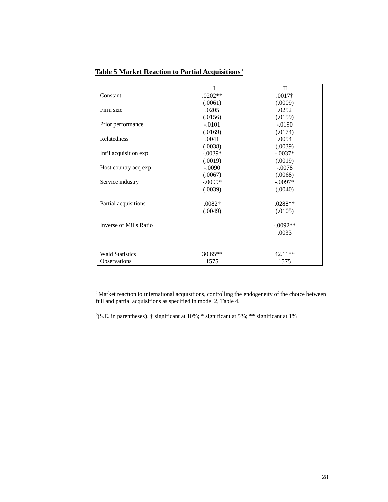|                        |                | $\mathbf{I}$   |
|------------------------|----------------|----------------|
| Constant               | $.0202**$      | $.0017\dagger$ |
|                        | (.0061)        | (.0009)        |
| Firm size              | .0205          | .0252          |
|                        | (.0156)        | (.0159)        |
| Prior performance      | $-.0101$       | $-.0190$       |
|                        | (.0169)        | (.0174)        |
| Relatedness            | .0041          | .0054          |
|                        | (.0038)        | (.0039)        |
| Int'l acquisition exp  | $-.0039*$      | $-.0037*$      |
|                        | (.0019)        | (.0019)        |
| Host country acq exp   | $-.0090$       | $-.0078$       |
|                        | (.0067)        | (.0068)        |
| Service industry       | $-.0099*$      | $-.0097*$      |
|                        | (.0039)        | (.0040)        |
| Partial acquisitions   | $.0082\dagger$ | $.0288**$      |
|                        | (.0049)        | (.0105)        |
| Inverse of Mills Ratio |                | $-.0092**$     |
|                        |                | .0033          |
|                        |                |                |
| <b>Wald Statistics</b> | $30.65**$      | 42.11**        |
| Observations           | 1575           | 1575           |

# **Table 5 Market Reaction to Partial Acquisitionsa**

<sup>a</sup> Market reaction to international acquisitions, controlling the endogeneity of the choice between full and partial acquisitions as specified in model 2, Table 4.

<sup>b</sup>(S.E. in parentheses).  $\dagger$  significant at 10%;  $*$  significant at 5%;  $**$  significant at 1%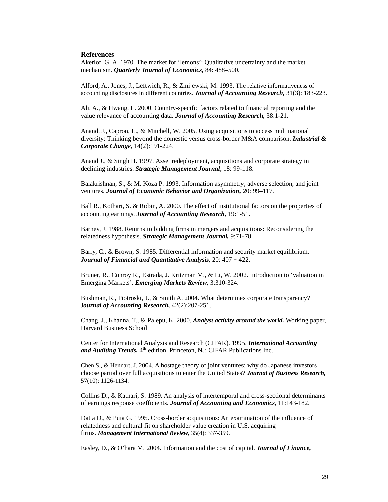#### **References**

Akerlof, G. A. 1970. The market for 'lemons': Qualitative uncertainty and the market mechanism. *Quarterly Journal of Economics***,** 84: 488–500.

Alford*,* A., Jones, J., Leftwich, R., & Zmijewski, M. 1993. The relative informativeness of accounting disclosures in different countries. *Journal of Accounting Research,* 31(3): 183-223.

Ali, A., & Hwang, L. 2000. Country-specific factors related to financial reporting and the value relevance of accounting data. *Journal of Accounting Research,* 38:1-21.

Anand, J., Capron, L., & Mitchell, W. 2005. Using acquisitions to access multinational diversity: Thinking beyond the domestic versus cross-border M&A comparison. *Industrial & Corporate Change,* 14(2):191-224.

Anand J., & Singh H. 1997. Asset redeployment, acquisitions and corporate strategy in declining industries. *Strategic Management Journal***,** 18: 99-118.

Balakrishnan, S., & M. Koza P. 1993. Information asymmetry, adverse selection, and joint ventures. *Journal of Economic Behavior and Organization***,** 20: 99–117.

Ball R., Kothari, S. & Robin, A. 2000. The effect of institutional factors on the properties of accounting earnings. *Journal of Accounting Research,* 19:1-51.

Barney, J. 1988. Returns to bidding firms in mergers and acquisitions: Reconsidering the relatedness hypothesis. *Strategic Management Journal,* 9:71-78.

Barry, C., & Brown, S. 1985. Differential information and security market equilibrium. *Journal of Financial and Quantitative Analysis,* 20: 407–422.

Bruner, R., Conroy R., Estrada, J. Kritzman M., & Li, W. 2002. Introduction to 'valuation in Emerging Markets'. *Emerging Markets Review,* 3:310-324.

Bushman, R., Piotroski, J., & Smith A. 2004. What determines corporate transparency? J*ournal of Accounting Research,* 42(2):207-251.

Chang, J., Khanna, T., & Palepu, K. 2000. *Analyst activity around the world.* Working paper, Harvard Business School

Center for International Analysis and Research (CIFAR). 1995. *International Accounting and Auditing Trends,* 4<sup>th</sup> edition. Princeton, NJ: CIFAR Publications Inc..

Chen S., & Hennart, J. 2004. A hostage theory of joint ventures: why do Japanese investors choose partial over full acquisitions to enter the United States? *Journal of Business Research,*  57(10): 1126-1134.

Collins D., & Kathari, S. 1989. An analysis of intertemporal and cross-sectional determinants of earnings response coefficients. *Journal of Accounting and Economics,* 11:143-182.

Datta D., & Puia G. 1995. Cross-border acquisitions: An examination of the influence of relatedness and cultural fit on shareholder value creation in U.S. acquiring firms. *Management International Review,* 35(4): 337-359.

Easley, D., & O'hara M. 2004. Information and the cost of capital. *Journal of Finance,*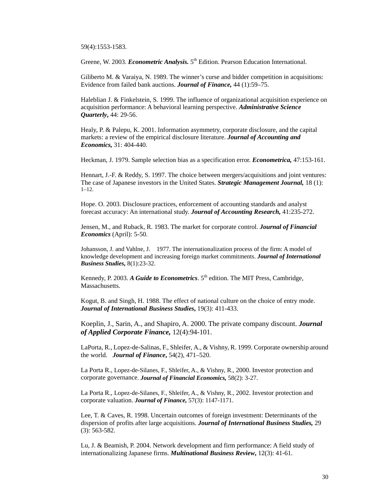59(4):1553-1583.

Greene, W. 2003. *Econometric Analysis*. 5<sup>th</sup> Edition. Pearson Education International.

Giliberto M. & Varaiya, N. 1989. The winner's curse and bidder competition in acquisitions: Evidence from failed bank auctions. *Journal of Finance,* 44 (1):59–75.

Haleblian J. & Finkelstein, S. 1999. The influence of organizational acquisition experience on acquisition performance: A behavioral learning perspective. *Administrative Science Quarterly***,** 44: 29-56.

Healy, P. & Palepu, K. 2001. Information asymmetry, corporate disclosure, and the capital markets: a review of the empirical disclosure literature. *Journal of Accounting and Economics,* 31: 404-440.

Heckman, J. 1979. Sample selection bias as a specification error. *Econometrica,* 47:153-161.

Hennart, J.-F. & Reddy, S. 1997. The choice between mergers/acquisitions and joint ventures: The case of Japanese investors in the United States. *Strategic Management Journal,* 18 (1): 1–12.

Hope. O. 2003. Disclosure practices, enforcement of accounting standards and analyst forecast accuracy: An international study. *Journal of Accounting Research,* 41:235-272.

Jensen, M., and Ruback, R. 1983. The market for corporate control. *Journal of Financial Economics* (April): 5-50.

Johansson, J. and Vahlne, J. 1977. The internationalization process of the firm: A model of knowledge development and increasing foreign market commitments. *Journal of International Business Studies,* 8(1):23-32.

Kennedy, P. 2003. *A Guide to Econometrics*. 5<sup>th</sup> edition. The MIT Press, Cambridge, Massachusetts.

Kogut, B. and Singh, H. 1988. The effect of national culture on the choice of entry mode. *Journal of International Business Studies***,** 19(3): 411-433.

Koeplin, J., Sarin, A., and Shapiro, A. 2000. The private company discount. *Journal of Applied Corporate Finance,* 12(4):94-101.

LaPorta, R., Lopez-de-Salinas, F., Shleifer, A., & Vishny, R. 1999. Corporate ownership around the world. *Journal of Finance***,** 54(2), 471–520.

La Porta R., Lopez-de-Silanes, F., Shleifer, A., & Vishny, R., 2000. Investor protection and corporate governance. *Journal of Financial Economics,* 58(2): 3-27.

La Porta R., Lopez-de-Silanes, F., Shleifer, A., & Vishny, R., 2002. Investor protection and corporate valuation. *Journal of Finance,* 57(3): 1147-1171.

Lee, T. & Caves, R. 1998. Uncertain outcomes of foreign investment: Determinants of the dispersion of profits after large acquisitions. *Journal of International Business Studies,* 29 (3): 563-582.

Lu, J. & Beamish, P. 2004. Network development and firm performance: A field study of internationalizing Japanese firms. *Multinational Business Review***,** 12(3): 41-61.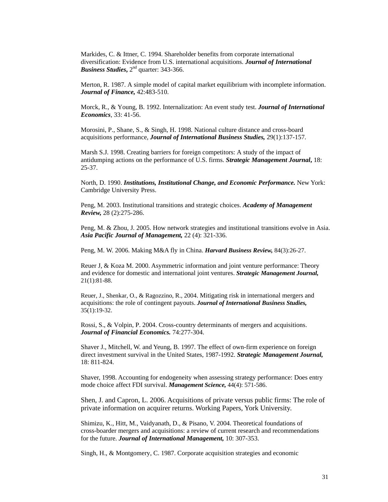Markides, C. & Ittner, C. 1994. Shareholder benefits from corporate international diversification: Evidence from U.S. international acquisitions. *Journal of International Business Studies***,** 2nd quarter: 343-366.

Merton, R. 1987. A simple model of capital market equilibrium with incomplete information. *Journal of Finance,* 42:483-510.

Morck, R., & Young, B. 1992. Internalization: An event study test. *Journal of International Economics*, 33: 41-56.

Morosini, P., Shane, S., & Singh, H. 1998. National culture distance and cross-board acquisitions performance, *Journal of International Business Studies,* 29(1):137-157.

Marsh S.J. 1998. Creating barriers for foreign competitors: A study of the impact of antidumping actions on the performance of U.S. firms. *Strategic Management Journal***,** 18: 25-37.

North, D. 1990. *Institutions, Institutional Change, and Economic Performance.* New York: Cambridge University Press.

Peng, M. 2003. Institutional transitions and strategic choices. *Academy of Management Review,* 28 (2):275-286.

Peng, M. & Zhou, J. 2005. How network strategies and institutional transitions evolve in Asia. *Asia Pacific Journal of Management,* 22 (4): 321-336.

Peng, M. W. 2006. Making M&A fly in China. *Harvard Business Review,* 84(3):26-27.

Reuer J, & Koza M. 2000. Asymmetric information and joint venture performance: Theory and evidence for domestic and international joint ventures. *Strategic Management Journal,*  21(1):81-88.

Reuer*,* J.*,* Shenkar*,* O., & Ragozzino, R., 2004. Mitigating risk in international mergers and acquisitions: the role of contingent payouts. *Journal of International Business Studies,*  35(1):19-32.

Rossi, S., & Volpin, P. 2004. Cross-country determinants of mergers and acquisitions. *Journal of Financial Economics.* 74:277-304.

Shaver J., Mitchell, W. and Yeung, B. 1997. The effect of own-firm experience on foreign direct investment survival in the United States, 1987-1992. *Strategic Management Journal,*  18: 811-824.

Shaver, 1998. Accounting for endogeneity when assessing strategy performance: Does entry mode choice affect FDI survival. *Management Science,* 44(4): 571-586.

Shen, J. and Capron, L. 2006. Acquisitions of private versus public firms: The role of private information on acquirer returns. Working Papers, York University.

Shimizu, K., Hitt, M., Vaidyanath, D., & Pisano, V. 2004. Theoretical foundations of cross-boarder mergers and acquisitions: a review of current research and recommendations for the future. *Journal of International Management,* 10: 307-353.

Singh, H., & Montgomery, C. 1987. Corporate acquisition strategies and economic